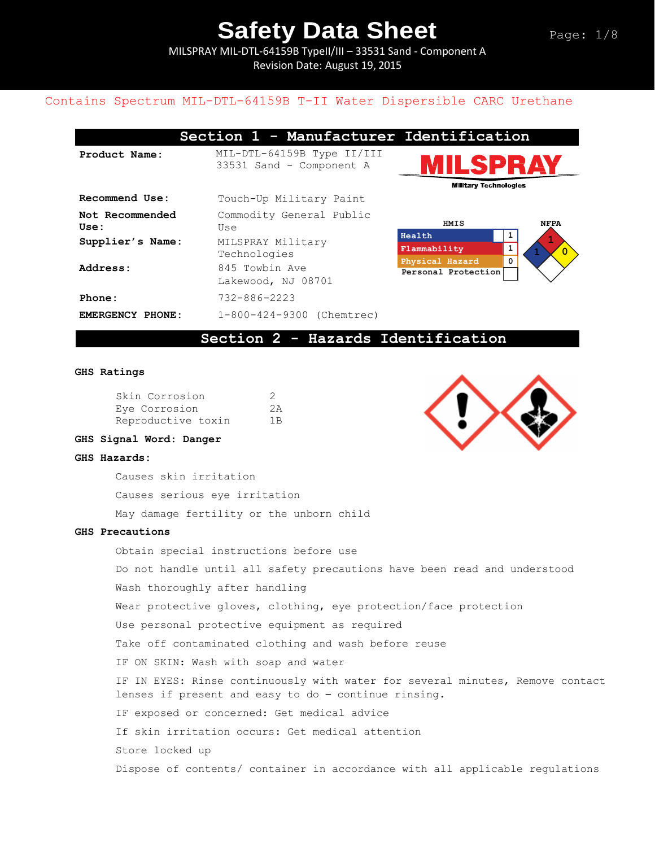MILSPRAY MIL-DTL-64159B TypeII/III – 33531 Sand - Component A Revision Date: August 19, 2015

### Contains Spectrum MIL-DTL-64159B T-II Water Dispersible CARC Urethane

| Section 1 - Manufacturer Id |                                                        |  |  |  |
|-----------------------------|--------------------------------------------------------|--|--|--|
| Product Name:               | MIL-DTL-64159B Type II/III<br>33531 Sand - Component A |  |  |  |
| Recommend Use:              | Touch-Up Military Paint                                |  |  |  |
| Not Recommended<br>Use:     | Commodity General Public<br>Use                        |  |  |  |
| Supplier's Name:            | Heal<br>MILSPRAY Military<br>Flam<br>Technologies      |  |  |  |
| Address:                    | Phys<br>845 Towbin Ave<br>Pers<br>Lakewood, NJ 08701   |  |  |  |
| Phone:                      | 732-886-2223                                           |  |  |  |
| EMERGENCY PHONE:            | 1-800-424-9300 (Chemtrec)                              |  |  |  |



**Section 1 - Manufacturer Identification** 



### **Section 2 - Hazards Identification**

#### **GHS Ratings**

| Skin Corrosion     | 2   |
|--------------------|-----|
| Eye Corrosion      |     |
| Reproductive toxin | 1 B |

### **GHS Signal Word: Danger**

#### **GHS Hazards:**

Causes skin irritation Causes serious eye irritation May damage fertility or the unborn child

#### **GHS Precautions**

Obtain special instructions before use

Do not handle until all safety precautions have been read and understood Wash thoroughly after handling

Wear protective gloves, clothing, eye protection/face protection

Use personal protective equipment as required

Take off contaminated clothing and wash before reuse

IF ON SKIN: Wash with soap and water

IF IN EYES: Rinse continuously with water for several minutes, Remove contact lenses if present and easy to do – continue rinsing.

IF exposed or concerned: Get medical advice

If skin irritation occurs: Get medical attention

Store locked up

Dispose of contents/ container in accordance with all applicable regulations

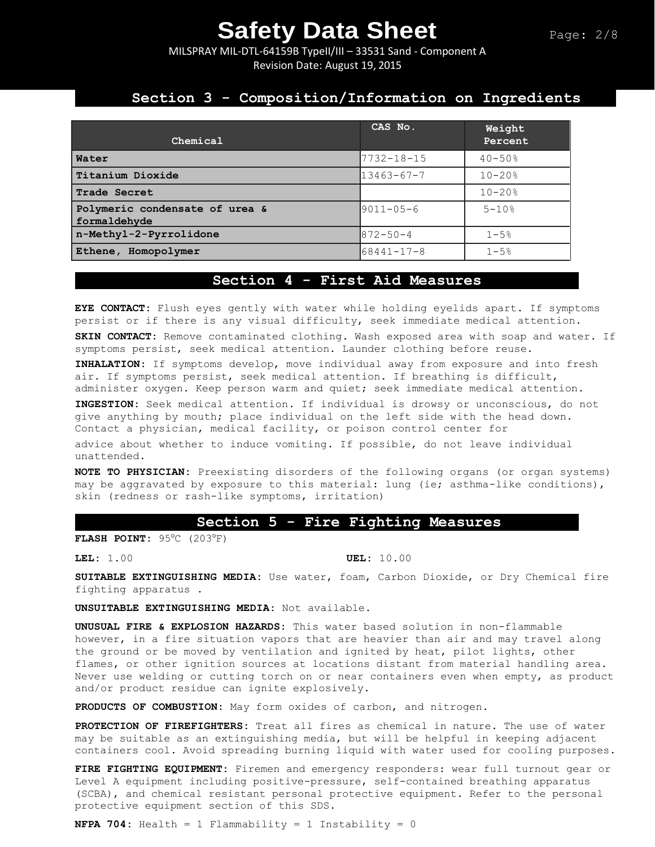MILSPRAY MIL-DTL-64159B TypeII/III – 33531 Sand - Component A Revision Date: August 19, 2015

## **Section 3 - Composition/Information on Ingredients**

| Chemical                                       | CAS No.          | Weight<br>Percent |
|------------------------------------------------|------------------|-------------------|
| Water                                          | 7732-18-15       | $40 - 50%$        |
| Titanium Dioxide                               | $13463 - 67 - 7$ | $10 - 20$ %       |
| Trade Secret                                   |                  | $10 - 20$ %       |
| Polymeric condensate of urea &<br>formaldehyde | $9011 - 05 - 6$  | $5 - 10%$         |
| n-Methyl-2-Pyrrolidone                         | $872 - 50 - 4$   | $1 - 5%$          |
| Ethene, Homopolymer                            | $68441 - 17 - 8$ | $1 - 5%$          |

### **Section 4 - First Aid Measures**

**EYE CONTACT:** Flush eyes gently with water while holding eyelids apart. If symptoms persist or if there is any visual difficulty, seek immediate medical attention. **SKIN CONTACT:** Remove contaminated clothing. Wash exposed area with soap and water. If symptoms persist, seek medical attention. Launder clothing before reuse.

**INHALATION:** If symptoms develop, move individual away from exposure and into fresh air. If symptoms persist, seek medical attention. If breathing is difficult, administer oxygen. Keep person warm and quiet; seek immediate medical attention.

**INGESTION:** Seek medical attention. If individual is drowsy or unconscious, do not give anything by mouth; place individual on the left side with the head down. Contact a physician, medical facility, or poison control center for

advice about whether to induce vomiting. If possible, do not leave individual unattended.

**NOTE TO PHYSICIAN:** Preexisting disorders of the following organs (or organ systems) may be aggravated by exposure to this material: lung (ie; asthma-like conditions), skin (redness or rash-like symptoms, irritation)

#### **Section 5 - Fire Fighting Measures**

**FLASH POINT:** 95C (203F)

**LEL:** 1.00 **UEL:** 10.00

**SUITABLE EXTINGUISHING MEDIA:** Use water, foam, Carbon Dioxide, or Dry Chemical fire fighting apparatus .

**UNSUITABLE EXTINGUISHING MEDIA:** Not available.

**UNUSUAL FIRE & EXPLOSION HAZARDS:** This water based solution in non-flammable however, in a fire situation vapors that are heavier than air and may travel along the ground or be moved by ventilation and ignited by heat, pilot lights, other flames, or other ignition sources at locations distant from material handling area. Never use welding or cutting torch on or near containers even when empty, as product and/or product residue can ignite explosively.

**PRODUCTS OF COMBUSTION:** May form oxides of carbon, and nitrogen.

**PROTECTION OF FIREFIGHTERS:** Treat all fires as chemical in nature. The use of water may be suitable as an extinguishing media, but will be helpful in keeping adjacent containers cool. Avoid spreading burning liquid with water used for cooling purposes.

**FIRE FIGHTING EQUIPMENT:** Firemen and emergency responders: wear full turnout gear or Level A equipment including positive-pressure, self-contained breathing apparatus (SCBA), and chemical resistant personal protective equipment. Refer to the personal protective equipment section of this SDS.

**NFPA 704:** Health = 1 Flammability = 1 Instability = 0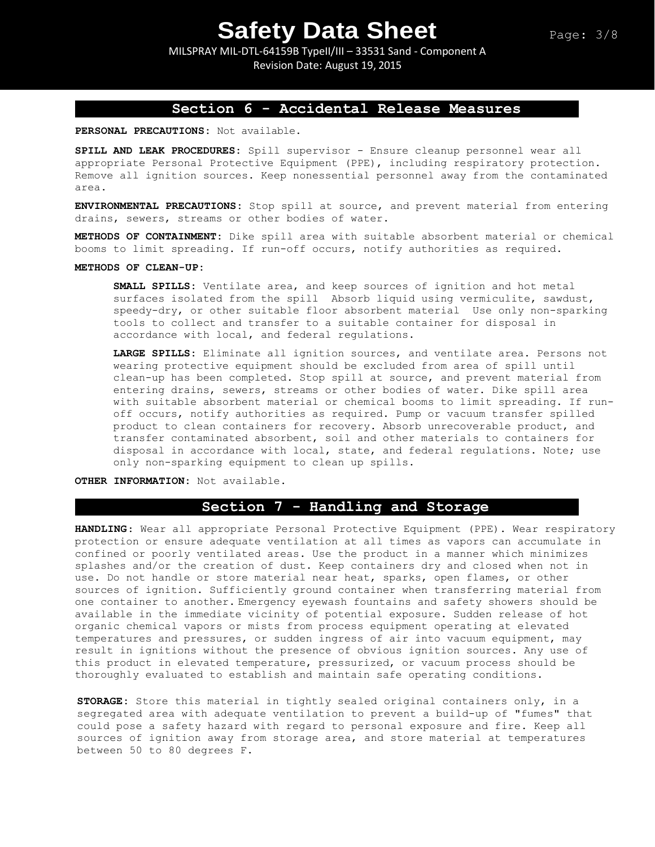MILSPRAY MIL-DTL-64159B TypeII/III – 33531 Sand - Component A Revision Date: August 19, 2015

## **Section 6 - Accidental Release Measures**

**PERSONAL PRECAUTIONS:** Not available.

**SPILL AND LEAK PROCEDURES:** Spill supervisor - Ensure cleanup personnel wear all appropriate Personal Protective Equipment (PPE), including respiratory protection. Remove all ignition sources. Keep nonessential personnel away from the contaminated area.

**ENVIRONMENTAL PRECAUTIONS:** Stop spill at source, and prevent material from entering drains, sewers, streams or other bodies of water.

**METHODS OF CONTAINMENT:** Dike spill area with suitable absorbent material or chemical booms to limit spreading. If run-off occurs, notify authorities as required.

#### **METHODS OF CLEAN-UP:**

**SMALL SPILLS:** Ventilate area, and keep sources of ignition and hot metal surfaces isolated from the spill Absorb liquid using vermiculite, sawdust, speedy-dry, or other suitable floor absorbent material Use only non-sparking tools to collect and transfer to a suitable container for disposal in accordance with local, and federal regulations.

**LARGE SPILLS:** Eliminate all ignition sources, and ventilate area. Persons not wearing protective equipment should be excluded from area of spill until clean-up has been completed. Stop spill at source, and prevent material from entering drains, sewers, streams or other bodies of water. Dike spill area with suitable absorbent material or chemical booms to limit spreading. If runoff occurs, notify authorities as required. Pump or vacuum transfer spilled product to clean containers for recovery. Absorb unrecoverable product, and transfer contaminated absorbent, soil and other materials to containers for disposal in accordance with local, state, and federal regulations. Note; use only non-sparking equipment to clean up spills.

**OTHER INFORMATION:** Not available.

## **Section 7 - Handling and Storage**

**HANDLING**: Wear all appropriate Personal Protective Equipment (PPE). Wear respiratory protection or ensure adequate ventilation at all times as vapors can accumulate in confined or poorly ventilated areas. Use the product in a manner which minimizes splashes and/or the creation of dust. Keep containers dry and closed when not in use. Do not handle or store material near heat, sparks, open flames, or other sources of ignition. Sufficiently ground container when transferring material from one container to another. Emergency eyewash fountains and safety showers should be available in the immediate vicinity of potential exposure. Sudden release of hot organic chemical vapors or mists from process equipment operating at elevated temperatures and pressures, or sudden ingress of air into vacuum equipment, may result in ignitions without the presence of obvious ignition sources. Any use of this product in elevated temperature, pressurized, or vacuum process should be thoroughly evaluated to establish and maintain safe operating conditions.

**STORAGE:** Store this material in tightly sealed original containers only, in a segregated area with adequate ventilation to prevent a build-up of "fumes" that could pose a safety hazard with regard to personal exposure and fire. Keep all sources of ignition away from storage area, and store material at temperatures between 50 to 80 degrees F.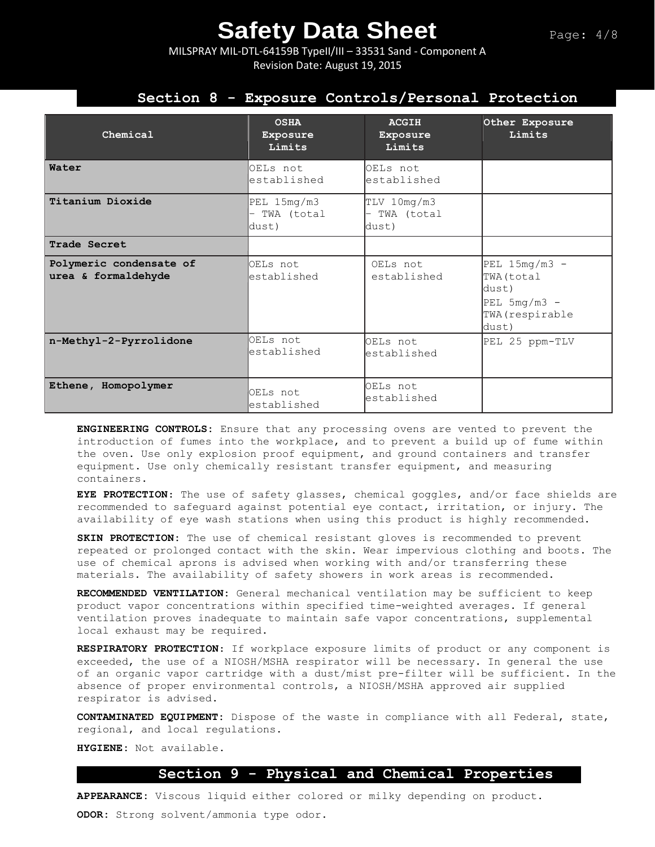MILSPRAY MIL-DTL-64159B TypeII/III – 33531 Sand - Component A Revision Date: August 19, 2015

## **Section 8 - Exposure Controls/Personal Protection**

| Chemical                                       | <b>OSHA</b><br><b>Exposure</b><br>Limits                       | <b>ACGIH</b><br>Exposure<br>Limits | Other Exposure<br>Limits                                                             |
|------------------------------------------------|----------------------------------------------------------------|------------------------------------|--------------------------------------------------------------------------------------|
| Water                                          | OELs not<br>established                                        | OELs not<br>established            |                                                                                      |
| Titanium Dioxide                               | PEL 15mg/m3<br>TWA (total<br>$\overline{\phantom{0}}$<br>dust) | TLV 10mg/m3<br>TWA (total<br>dust) |                                                                                      |
| Trade Secret                                   |                                                                |                                    |                                                                                      |
| Polymeric condensate of<br>urea & formaldehyde | OELs not<br>lestablished                                       | OELs not<br>established            | PEL $15mg/m3$ -<br>TWA (total<br>dust)<br>PEL $5mg/m3$ -<br>TWA (respirable<br>dust) |
| n-Methyl-2-Pyrrolidone                         | OELs not<br>established                                        | OELs not<br>established            | PEL 25 ppm-TLV                                                                       |
| Ethene, Homopolymer                            | OELs not<br>established                                        | OELs not<br>established            |                                                                                      |

**ENGINEERING CONTROLS:** Ensure that any processing ovens are vented to prevent the introduction of fumes into the workplace, and to prevent a build up of fume within the oven. Use only explosion proof equipment, and ground containers and transfer equipment. Use only chemically resistant transfer equipment, and measuring containers.

**EYE PROTECTION**: The use of safety glasses, chemical goggles, and/or face shields are recommended to safeguard against potential eye contact, irritation, or injury. The availability of eye wash stations when using this product is highly recommended.

**SKIN PROTECTION:** The use of chemical resistant gloves is recommended to prevent repeated or prolonged contact with the skin. Wear impervious clothing and boots. The use of chemical aprons is advised when working with and/or transferring these materials. The availability of safety showers in work areas is recommended**.** 

**RECOMMENDED VENTILATION:** General mechanical ventilation may be sufficient to keep product vapor concentrations within specified time-weighted averages. If general ventilation proves inadequate to maintain safe vapor concentrations, supplemental local exhaust may be required.

**RESPIRATORY PROTECTION**: If workplace exposure limits of product or any component is exceeded, the use of a NIOSH/MSHA respirator will be necessary. In general the use of an organic vapor cartridge with a dust/mist pre-filter will be sufficient. In the absence of proper environmental controls, a NIOSH/MSHA approved air supplied respirator is advised.

**CONTAMINATED EQUIPMENT:** Dispose of the waste in compliance with all Federal, state, regional, and local regulations.

**HYGIENE:** Not available.

### **Section 9 - Physical and Chemical Properties**

**APPEARANCE:** Viscous liquid either colored or milky depending on product. **ODOR:** Strong solvent/ammonia type odor.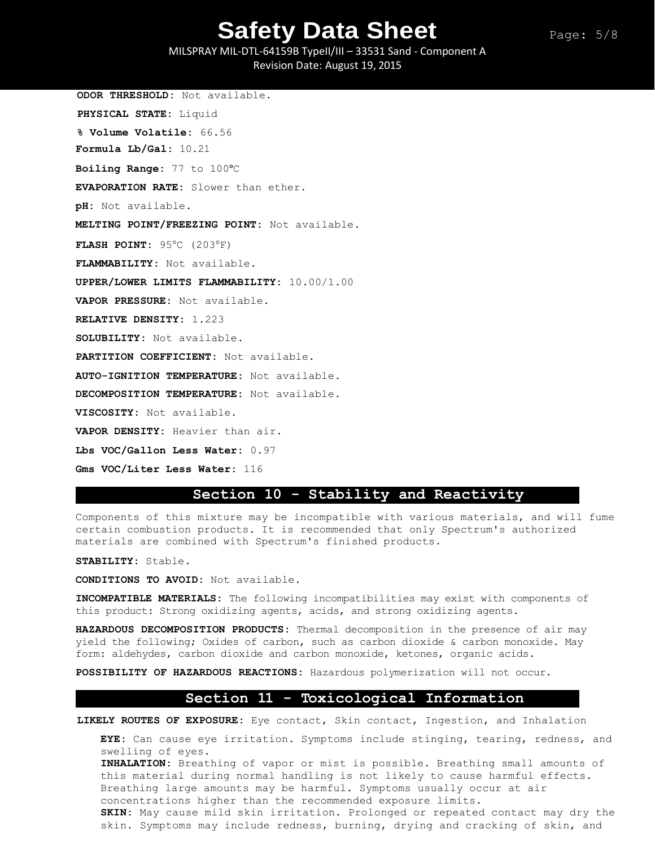MILSPRAY MIL-DTL-64159B TypeII/III – 33531 Sand - Component A Revision Date: August 19, 2015

**ODOR THRESHOLD:** Not available. **PHYSICAL STATE:** Liquid **% Volume Volatile:** 66.56 **Formula Lb/Gal:** 10.21 **Boiling Range:** 77 to 100°C **EVAPORATION RATE:** Slower than ether. **pH:** Not available. **MELTING POINT/FREEZING POINT:** Not available. **FLASH POINT:** 95°C (203°F) **FLAMMABILITY:** Not available. **UPPER/LOWER LIMITS FLAMMABILITY:** 10.00/1.00 **VAPOR PRESSURE:** Not available. **RELATIVE DENSITY:** 1.223 **SOLUBILITY:** Not available. **PARTITION COEFFICIENT:** Not available. **AUTO-IGNITION TEMPERATURE:** Not available. **DECOMPOSITION TEMPERATURE:** Not available. **VISCOSITY:** Not available. **VAPOR DENSITY:** Heavier than air. **Lbs VOC/Gallon Less Water:** 0.97 **Gms VOC/Liter Less Water:** 116

### **Section 10 - Stability and Reactivity**

Components of this mixture may be incompatible with various materials, and will fume certain combustion products. It is recommended that only Spectrum's authorized materials are combined with Spectrum's finished products.

**STABILITY:** Stable.

**CONDITIONS TO AVOID:** Not available.

**INCOMPATIBLE MATERIALS:** The following incompatibilities may exist with components of this product: Strong oxidizing agents, acids, and strong oxidizing agents.

**HAZARDOUS DECOMPOSITION PRODUCTS:** Thermal decomposition in the presence of air may yield the following; Oxides of carbon, such as carbon dioxide & carbon monoxide. May form: aldehydes, carbon dioxide and carbon monoxide, ketones, organic acids.

**POSSIBILITY OF HAZARDOUS REACTIONS:** Hazardous polymerization will not occur.

#### **Section 11 - Toxicological Information**

**LIKELY ROUTES OF EXPOSURE:** Eye contact, Skin contact, Ingestion, and Inhalation

**EYE:** Can cause eye irritation. Symptoms include stinging, tearing, redness, and swelling of eyes.

**INHALATION:** Breathing of vapor or mist is possible. Breathing small amounts of this material during normal handling is not likely to cause harmful effects. Breathing large amounts may be harmful. Symptoms usually occur at air concentrations higher than the recommended exposure limits.

**SKIN:** May cause mild skin irritation. Prolonged or repeated contact may dry the skin. Symptoms may include redness, burning, drying and cracking of skin, and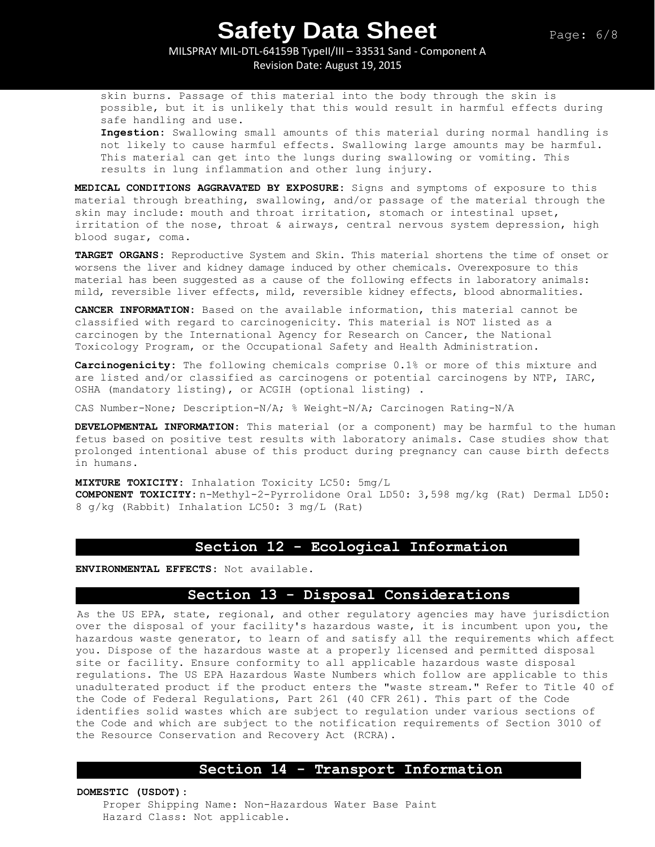MILSPRAY MIL-DTL-64159B TypeII/III – 33531 Sand - Component A

Revision Date: August 19, 2015

skin burns. Passage of this material into the body through the skin is possible, but it is unlikely that this would result in harmful effects during safe handling and use.

**Ingestion:** Swallowing small amounts of this material during normal handling is not likely to cause harmful effects. Swallowing large amounts may be harmful. This material can get into the lungs during swallowing or vomiting. This results in lung inflammation and other lung injury.

**MEDICAL CONDITIONS AGGRAVATED BY EXPOSURE:** Signs and symptoms of exposure to this material through breathing, swallowing, and/or passage of the material through the skin may include: mouth and throat irritation, stomach or intestinal upset, irritation of the nose, throat & airways, central nervous system depression, high blood sugar, coma.

**TARGET ORGANS:** Reproductive System and Skin. This material shortens the time of onset or worsens the liver and kidney damage induced by other chemicals. Overexposure to this material has been suggested as a cause of the following effects in laboratory animals: mild, reversible liver effects, mild, reversible kidney effects, blood abnormalities.

**CANCER INFORMATION:** Based on the available information, this material cannot be classified with regard to carcinogenicity. This material is NOT listed as a carcinogen by the International Agency for Research on Cancer, the National Toxicology Program, or the Occupational Safety and Health Administration.

**Carcinogenicity:** The following chemicals comprise 0.1% or more of this mixture and are listed and/or classified as carcinogens or potential carcinogens by NTP, IARC, OSHA (mandatory listing), or ACGIH (optional listing) .

CAS Number-None; Description-N/A; % Weight-N/A; Carcinogen Rating-N/A

**DEVELOPMENTAL INFORMATION:** This material (or a component) may be harmful to the human fetus based on positive test results with laboratory animals. Case studies show that prolonged intentional abuse of this product during pregnancy can cause birth defects in humans.

**MIXTURE TOXICITY:** Inhalation Toxicity LC50: 5mg/L **COMPONENT TOXICITY:** n-Methyl-2-Pyrrolidone Oral LD50: 3,598 mg/kg (Rat) Dermal LD50: 8 g/kg (Rabbit) Inhalation LC50: 3 mg/L (Rat)

## **Section 12 - Ecological Information**

**ENVIRONMENTAL EFFECTS:** Not available.

## **Section 13 - Disposal Considerations**

As the US EPA, state, regional, and other regulatory agencies may have jurisdiction over the disposal of your facility's hazardous waste, it is incumbent upon you, the hazardous waste generator, to learn of and satisfy all the requirements which affect you. Dispose of the hazardous waste at a properly licensed and permitted disposal site or facility. Ensure conformity to all applicable hazardous waste disposal regulations. The US EPA Hazardous Waste Numbers which follow are applicable to this unadulterated product if the product enters the "waste stream." Refer to Title 40 of the Code of Federal Regulations, Part 261 (40 CFR 261). This part of the Code identifies solid wastes which are subject to regulation under various sections of the Code and which are subject to the notification requirements of Section 3010 of the Resource Conservation and Recovery Act (RCRA).

## **Section 14 - Transport Information**

**DOMESTIC (USDOT):**

Proper Shipping Name: Non-Hazardous Water Base Paint Hazard Class: Not applicable.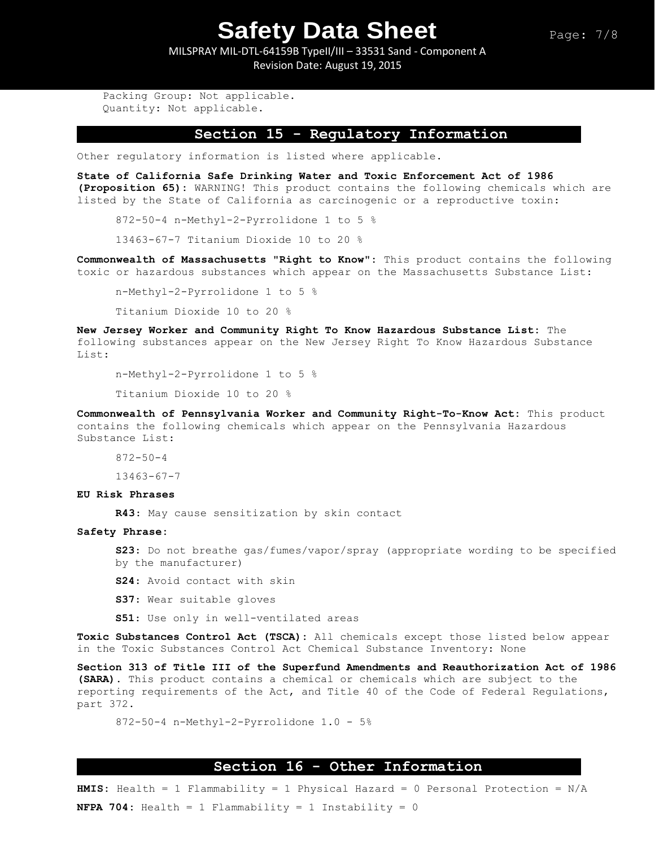MILSPRAY MIL-DTL-64159B TypeII/III – 33531 Sand - Component A Revision Date: August 19, 2015

Packing Group: Not applicable. Quantity: Not applicable.

#### **Section 15 - Regulatory Information**

Other regulatory information is listed where applicable.

**State of California Safe Drinking Water and Toxic Enforcement Act of 1986 (Proposition 65):** WARNING! This product contains the following chemicals which are listed by the State of California as carcinogenic or a reproductive toxin:

872-50-4 n-Methyl-2-Pyrrolidone 1 to 5 %

13463-67-7 Titanium Dioxide 10 to 20 %

**Commonwealth of Massachusetts "Right to Know":** This product contains the following toxic or hazardous substances which appear on the Massachusetts Substance List:

n-Methyl-2-Pyrrolidone 1 to 5 %

Titanium Dioxide 10 to 20 %

**New Jersey Worker and Community Right To Know Hazardous Substance List:** The following substances appear on the New Jersey Right To Know Hazardous Substance List:

n-Methyl-2-Pyrrolidone 1 to 5 %

Titanium Dioxide 10 to 20 %

**Commonwealth of Pennsylvania Worker and Community Right-To-Know Act:** This product contains the following chemicals which appear on the Pennsylvania Hazardous Substance List:

872-50-4

13463-67-7

#### **EU Risk Phrases**

**R43**: May cause sensitization by skin contact

#### **Safety Phrase:**

**S23**: Do not breathe gas/fumes/vapor/spray (appropriate wording to be specified by the manufacturer)

- **S24**: Avoid contact with skin
- **S37**: Wear suitable gloves

**S51**: Use only in well-ventilated areas

**Toxic Substances Control Act (TSCA):** All chemicals except those listed below appear in the Toxic Substances Control Act Chemical Substance Inventory: None

**Section 313 of Title III of the Superfund Amendments and Reauthorization Act of 1986 (SARA).** This product contains a chemical or chemicals which are subject to the reporting requirements of the Act, and Title 40 of the Code of Federal Regulations, part 372.

```
872-50-4 n-Methyl-2-Pyrrolidone 1.0 - 5%
```
### **Section 16 - Other Information**

**HMIS:** Health = 1 Flammability = 1 Physical Hazard = 0 Personal Protection = N/A **NFPA 704:** Health = 1 Flammability = 1 Instability = 0